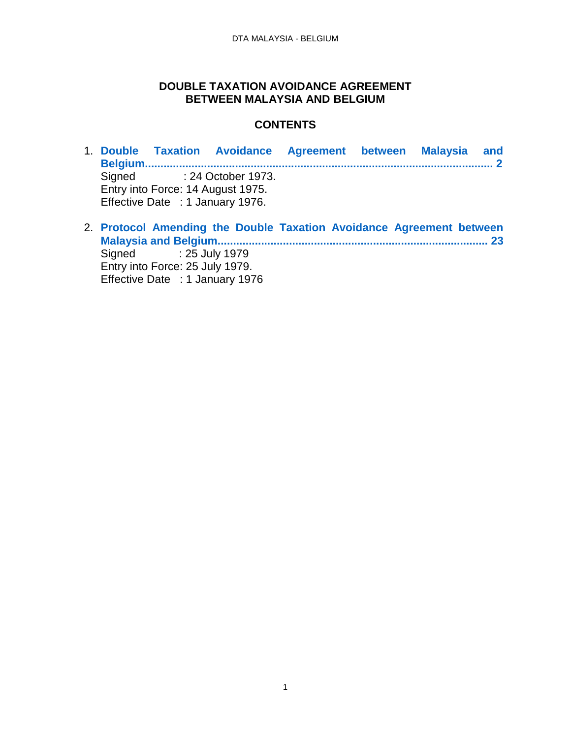### **DOUBLE TAXATION AVOIDANCE AGREEMENT BETWEEN MALAYSIA AND BELGIUM**

### **CONTENTS**

- 1. **[Double Taxation Avoidance Agreement between Malaysia and](#page-1-0)  [Belgium................................................................................................................](#page-1-0) 2** Signed : 24 October 1973. Entry into Force: 14 August 1975. Effective Date : 1 January 1976.
- 2. **[Protocol Amending the Double Taxation Avoidance Agreement between](#page-22-0)  [Malaysia and Belgium....................................................................................... 23](#page-22-0)** Signed : 25 July 1979 Entry into Force: 25 July 1979. Effective Date : 1 January 1976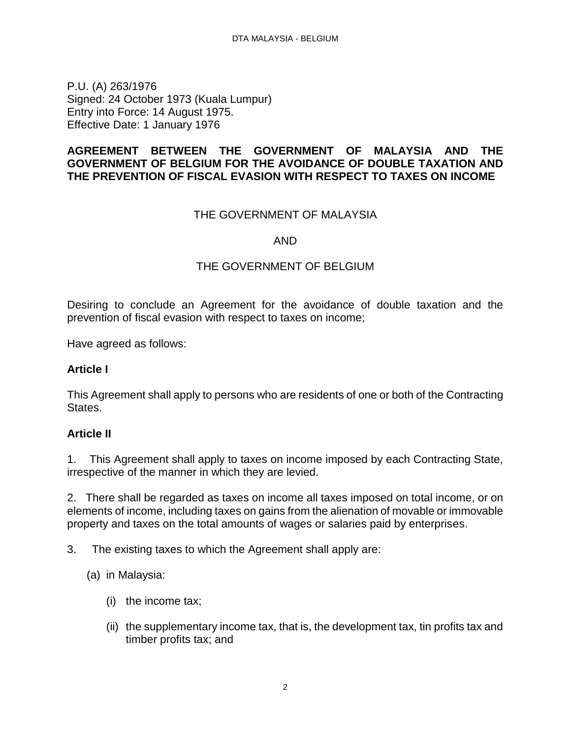<span id="page-1-0"></span>P.U. (A) 263/1976 Signed: 24 October 1973 (Kuala Lumpur) Entry into Force: 14 August 1975. Effective Date: 1 January 1976

#### **AGREEMENT BETWEEN THE GOVERNMENT OF MALAYSIA AND THE GOVERNMENT OF BELGIUM FOR THE AVOIDANCE OF DOUBLE TAXATION AND THE PREVENTION OF FISCAL EVASION WITH RESPECT TO TAXES ON INCOME**

#### THE GOVERNMENT OF MALAYSIA

#### AND

### THE GOVERNMENT OF BELGIUM

Desiring to conclude an Agreement for the avoidance of double taxation and the prevention of fiscal evasion with respect to taxes on income;

Have agreed as follows:

#### **Article I**

This Agreement shall apply to persons who are residents of one or both of the Contracting States.

#### **Article II**

1. This Agreement shall apply to taxes on income imposed by each Contracting State, irrespective of the manner in which they are levied.

2. There shall be regarded as taxes on income all taxes imposed on total income, or on elements of income, including taxes on gains from the alienation of movable or immovable property and taxes on the total amounts of wages or salaries paid by enterprises.

- 3. The existing taxes to which the Agreement shall apply are:
	- (a) in Malaysia:
		- (i) the income tax;
		- (ii) the supplementary income tax, that is, the development tax, tin profits tax and timber profits tax; and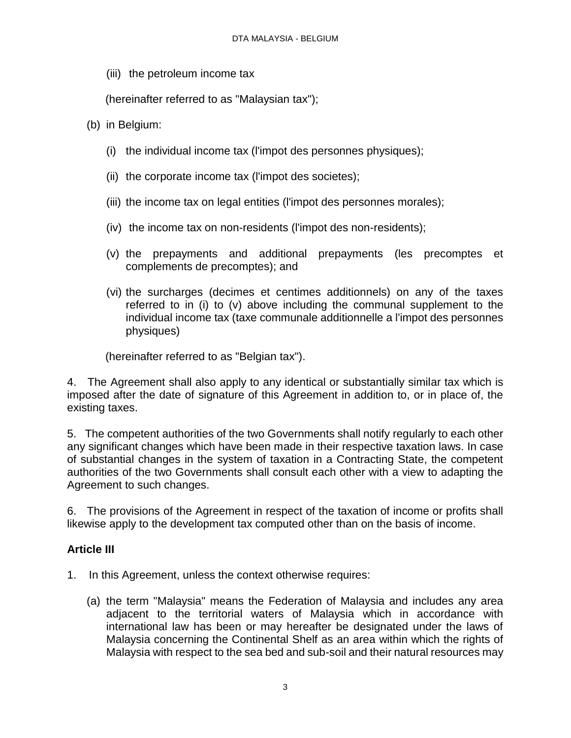(iii) the petroleum income tax

(hereinafter referred to as "Malaysian tax");

- (b) in Belgium:
	- (i) the individual income tax (l'impot des personnes physiques);
	- (ii) the corporate income tax (l'impot des societes);
	- (iii) the income tax on legal entities (l'impot des personnes morales);
	- (iv) the income tax on non-residents (l'impot des non-residents);
	- (v) the prepayments and additional prepayments (les precomptes et complements de precomptes); and
	- (vi) the surcharges (decimes et centimes additionnels) on any of the taxes referred to in (i) to (v) above including the communal supplement to the individual income tax (taxe communale additionnelle a l'impot des personnes physiques)

(hereinafter referred to as "Belgian tax").

4. The Agreement shall also apply to any identical or substantially similar tax which is imposed after the date of signature of this Agreement in addition to, or in place of, the existing taxes.

5. The competent authorities of the two Governments shall notify regularly to each other any significant changes which have been made in their respective taxation laws. In case of substantial changes in the system of taxation in a Contracting State, the competent authorities of the two Governments shall consult each other with a view to adapting the Agreement to such changes.

6. The provisions of the Agreement in respect of the taxation of income or profits shall likewise apply to the development tax computed other than on the basis of income.

### **Article III**

- 1. In this Agreement, unless the context otherwise requires:
	- (a) the term "Malaysia" means the Federation of Malaysia and includes any area adjacent to the territorial waters of Malaysia which in accordance with international law has been or may hereafter be designated under the laws of Malaysia concerning the Continental Shelf as an area within which the rights of Malaysia with respect to the sea bed and sub-soil and their natural resources may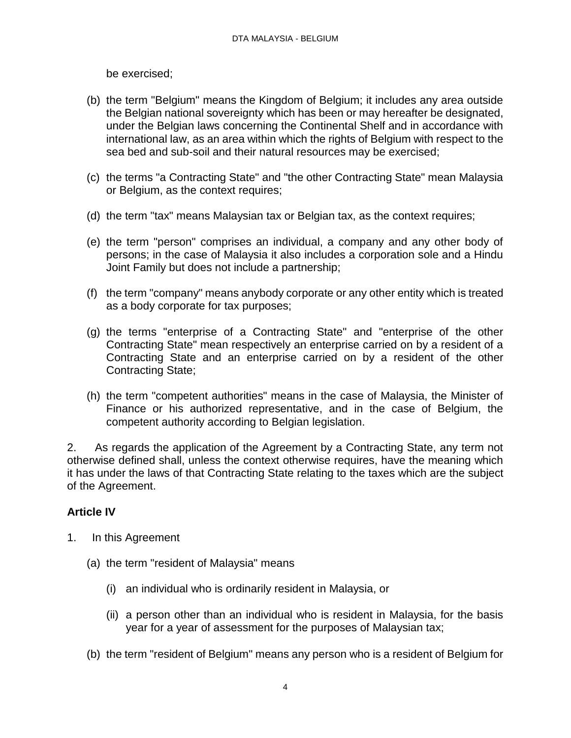be exercised;

- (b) the term "Belgium" means the Kingdom of Belgium; it includes any area outside the Belgian national sovereignty which has been or may hereafter be designated, under the Belgian laws concerning the Continental Shelf and in accordance with international law, as an area within which the rights of Belgium with respect to the sea bed and sub-soil and their natural resources may be exercised;
- (c) the terms "a Contracting State" and "the other Contracting State" mean Malaysia or Belgium, as the context requires;
- (d) the term "tax" means Malaysian tax or Belgian tax, as the context requires;
- (e) the term "person" comprises an individual, a company and any other body of persons; in the case of Malaysia it also includes a corporation sole and a Hindu Joint Family but does not include a partnership;
- (f) the term "company" means anybody corporate or any other entity which is treated as a body corporate for tax purposes;
- (g) the terms "enterprise of a Contracting State" and "enterprise of the other Contracting State" mean respectively an enterprise carried on by a resident of a Contracting State and an enterprise carried on by a resident of the other Contracting State;
- (h) the term "competent authorities" means in the case of Malaysia, the Minister of Finance or his authorized representative, and in the case of Belgium, the competent authority according to Belgian legislation.

2. As regards the application of the Agreement by a Contracting State, any term not otherwise defined shall, unless the context otherwise requires, have the meaning which it has under the laws of that Contracting State relating to the taxes which are the subject of the Agreement.

### **Article IV**

- 1. In this Agreement
	- (a) the term "resident of Malaysia" means
		- (i) an individual who is ordinarily resident in Malaysia, or
		- (ii) a person other than an individual who is resident in Malaysia, for the basis year for a year of assessment for the purposes of Malaysian tax;
	- (b) the term "resident of Belgium" means any person who is a resident of Belgium for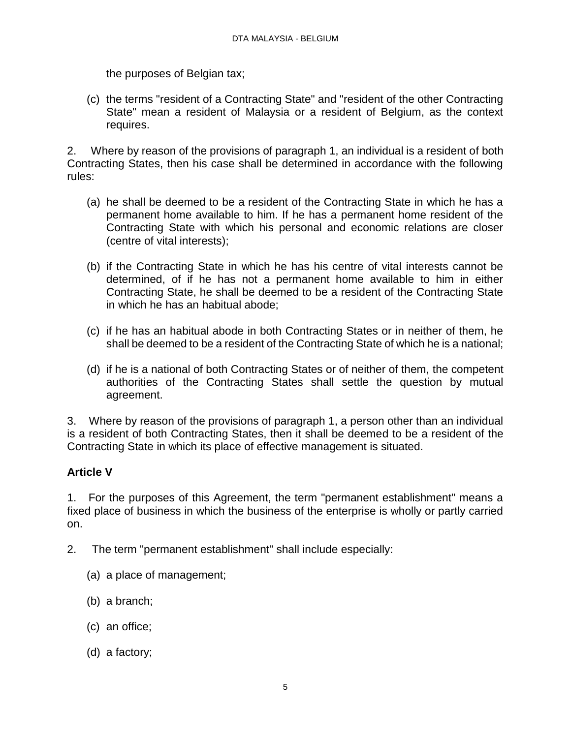the purposes of Belgian tax;

(c) the terms "resident of a Contracting State" and "resident of the other Contracting State" mean a resident of Malaysia or a resident of Belgium, as the context requires.

2. Where by reason of the provisions of paragraph 1, an individual is a resident of both Contracting States, then his case shall be determined in accordance with the following rules:

- (a) he shall be deemed to be a resident of the Contracting State in which he has a permanent home available to him. If he has a permanent home resident of the Contracting State with which his personal and economic relations are closer (centre of vital interests);
- (b) if the Contracting State in which he has his centre of vital interests cannot be determined, of if he has not a permanent home available to him in either Contracting State, he shall be deemed to be a resident of the Contracting State in which he has an habitual abode;
- (c) if he has an habitual abode in both Contracting States or in neither of them, he shall be deemed to be a resident of the Contracting State of which he is a national;
- (d) if he is a national of both Contracting States or of neither of them, the competent authorities of the Contracting States shall settle the question by mutual agreement.

3. Where by reason of the provisions of paragraph 1, a person other than an individual is a resident of both Contracting States, then it shall be deemed to be a resident of the Contracting State in which its place of effective management is situated.

# **Article V**

1. For the purposes of this Agreement, the term "permanent establishment" means a fixed place of business in which the business of the enterprise is wholly or partly carried on.

- 2. The term "permanent establishment" shall include especially:
	- (a) a place of management;
	- (b) a branch;
	- (c) an office;
	- (d) a factory;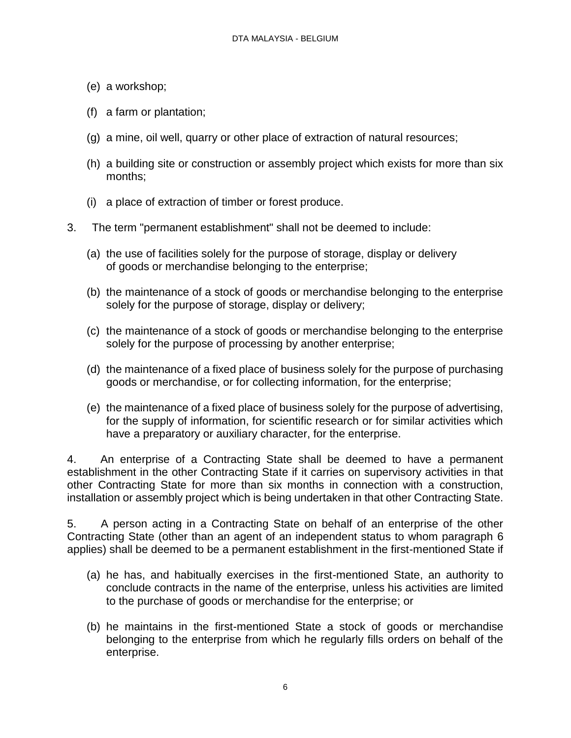- (e) a workshop;
- (f) a farm or plantation;
- (g) a mine, oil well, quarry or other place of extraction of natural resources;
- (h) a building site or construction or assembly project which exists for more than six months;
- (i) a place of extraction of timber or forest produce.
- 3. The term "permanent establishment" shall not be deemed to include:
	- (a) the use of facilities solely for the purpose of storage, display or delivery of goods or merchandise belonging to the enterprise;
	- (b) the maintenance of a stock of goods or merchandise belonging to the enterprise solely for the purpose of storage, display or delivery;
	- (c) the maintenance of a stock of goods or merchandise belonging to the enterprise solely for the purpose of processing by another enterprise;
	- (d) the maintenance of a fixed place of business solely for the purpose of purchasing goods or merchandise, or for collecting information, for the enterprise;
	- (e) the maintenance of a fixed place of business solely for the purpose of advertising, for the supply of information, for scientific research or for similar activities which have a preparatory or auxiliary character, for the enterprise.

4. An enterprise of a Contracting State shall be deemed to have a permanent establishment in the other Contracting State if it carries on supervisory activities in that other Contracting State for more than six months in connection with a construction, installation or assembly project which is being undertaken in that other Contracting State.

5. A person acting in a Contracting State on behalf of an enterprise of the other Contracting State (other than an agent of an independent status to whom paragraph 6 applies) shall be deemed to be a permanent establishment in the first-mentioned State if

- (a) he has, and habitually exercises in the first-mentioned State, an authority to conclude contracts in the name of the enterprise, unless his activities are limited to the purchase of goods or merchandise for the enterprise; or
- (b) he maintains in the first-mentioned State a stock of goods or merchandise belonging to the enterprise from which he regularly fills orders on behalf of the enterprise.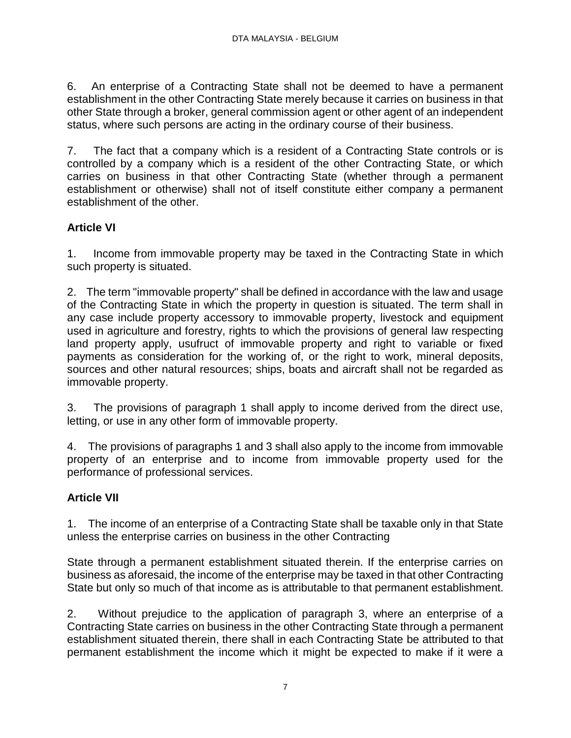6. An enterprise of a Contracting State shall not be deemed to have a permanent establishment in the other Contracting State merely because it carries on business in that other State through a broker, general commission agent or other agent of an independent status, where such persons are acting in the ordinary course of their business.

7. The fact that a company which is a resident of a Contracting State controls or is controlled by a company which is a resident of the other Contracting State, or which carries on business in that other Contracting State (whether through a permanent establishment or otherwise) shall not of itself constitute either company a permanent establishment of the other.

# **Article VI**

1. Income from immovable property may be taxed in the Contracting State in which such property is situated.

2. The term "immovable property" shall be defined in accordance with the law and usage of the Contracting State in which the property in question is situated. The term shall in any case include property accessory to immovable property, livestock and equipment used in agriculture and forestry, rights to which the provisions of general law respecting land property apply, usufruct of immovable property and right to variable or fixed payments as consideration for the working of, or the right to work, mineral deposits, sources and other natural resources; ships, boats and aircraft shall not be regarded as immovable property.

3. The provisions of paragraph 1 shall apply to income derived from the direct use, letting, or use in any other form of immovable property.

4. The provisions of paragraphs 1 and 3 shall also apply to the income from immovable property of an enterprise and to income from immovable property used for the performance of professional services.

# **Article VII**

1. The income of an enterprise of a Contracting State shall be taxable only in that State unless the enterprise carries on business in the other Contracting

State through a permanent establishment situated therein. If the enterprise carries on business as aforesaid, the income of the enterprise may be taxed in that other Contracting State but only so much of that income as is attributable to that permanent establishment.

2. Without prejudice to the application of paragraph 3, where an enterprise of a Contracting State carries on business in the other Contracting State through a permanent establishment situated therein, there shall in each Contracting State be attributed to that permanent establishment the income which it might be expected to make if it were a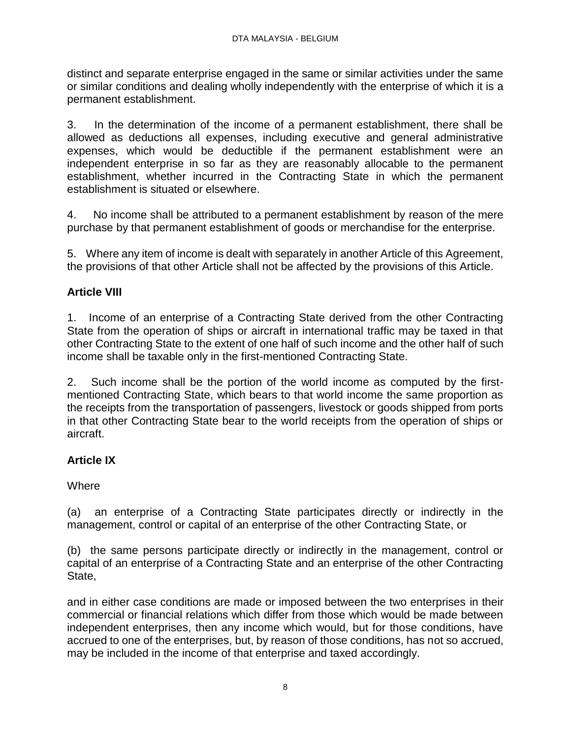distinct and separate enterprise engaged in the same or similar activities under the same or similar conditions and dealing wholly independently with the enterprise of which it is a permanent establishment.

3. In the determination of the income of a permanent establishment, there shall be allowed as deductions all expenses, including executive and general administrative expenses, which would be deductible if the permanent establishment were an independent enterprise in so far as they are reasonably allocable to the permanent establishment, whether incurred in the Contracting State in which the permanent establishment is situated or elsewhere.

4. No income shall be attributed to a permanent establishment by reason of the mere purchase by that permanent establishment of goods or merchandise for the enterprise.

5. Where any item of income is dealt with separately in another Article of this Agreement, the provisions of that other Article shall not be affected by the provisions of this Article.

# **Article VIII**

1. Income of an enterprise of a Contracting State derived from the other Contracting State from the operation of ships or aircraft in international traffic may be taxed in that other Contracting State to the extent of one half of such income and the other half of such income shall be taxable only in the first-mentioned Contracting State.

2. Such income shall be the portion of the world income as computed by the firstmentioned Contracting State, which bears to that world income the same proportion as the receipts from the transportation of passengers, livestock or goods shipped from ports in that other Contracting State bear to the world receipts from the operation of ships or aircraft.

# **Article IX**

### **Where**

(a) an enterprise of a Contracting State participates directly or indirectly in the management, control or capital of an enterprise of the other Contracting State, or

(b) the same persons participate directly or indirectly in the management, control or capital of an enterprise of a Contracting State and an enterprise of the other Contracting State,

and in either case conditions are made or imposed between the two enterprises in their commercial or financial relations which differ from those which would be made between independent enterprises, then any income which would, but for those conditions, have accrued to one of the enterprises, but, by reason of those conditions, has not so accrued, may be included in the income of that enterprise and taxed accordingly.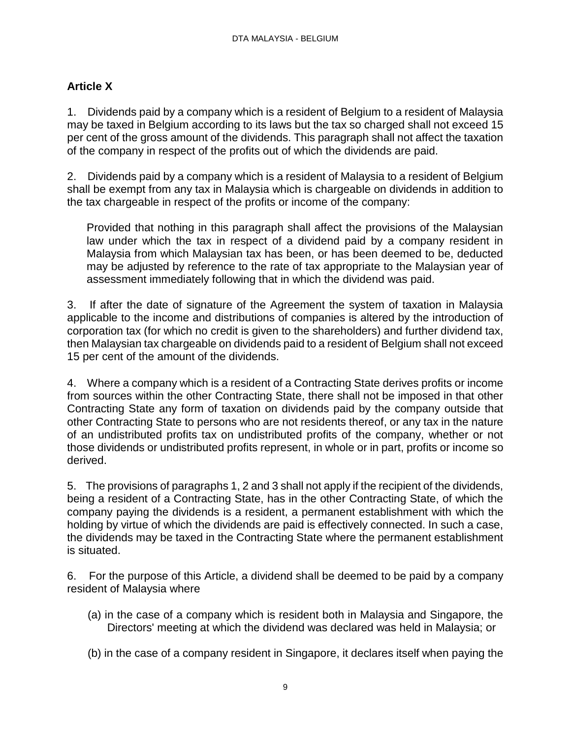### **Article X**

1. Dividends paid by a company which is a resident of Belgium to a resident of Malaysia may be taxed in Belgium according to its laws but the tax so charged shall not exceed 15 per cent of the gross amount of the dividends. This paragraph shall not affect the taxation of the company in respect of the profits out of which the dividends are paid.

2. Dividends paid by a company which is a resident of Malaysia to a resident of Belgium shall be exempt from any tax in Malaysia which is chargeable on dividends in addition to the tax chargeable in respect of the profits or income of the company:

Provided that nothing in this paragraph shall affect the provisions of the Malaysian law under which the tax in respect of a dividend paid by a company resident in Malaysia from which Malaysian tax has been, or has been deemed to be, deducted may be adjusted by reference to the rate of tax appropriate to the Malaysian year of assessment immediately following that in which the dividend was paid.

3. If after the date of signature of the Agreement the system of taxation in Malaysia applicable to the income and distributions of companies is altered by the introduction of corporation tax (for which no credit is given to the shareholders) and further dividend tax, then Malaysian tax chargeable on dividends paid to a resident of Belgium shall not exceed 15 per cent of the amount of the dividends.

4. Where a company which is a resident of a Contracting State derives profits or income from sources within the other Contracting State, there shall not be imposed in that other Contracting State any form of taxation on dividends paid by the company outside that other Contracting State to persons who are not residents thereof, or any tax in the nature of an undistributed profits tax on undistributed profits of the company, whether or not those dividends or undistributed profits represent, in whole or in part, profits or income so derived.

5. The provisions of paragraphs 1, 2 and 3 shall not apply if the recipient of the dividends, being a resident of a Contracting State, has in the other Contracting State, of which the company paying the dividends is a resident, a permanent establishment with which the holding by virtue of which the dividends are paid is effectively connected. In such a case, the dividends may be taxed in the Contracting State where the permanent establishment is situated.

6. For the purpose of this Article, a dividend shall be deemed to be paid by a company resident of Malaysia where

- (a) in the case of a company which is resident both in Malaysia and Singapore, the Directors' meeting at which the dividend was declared was held in Malaysia; or
- (b) in the case of a company resident in Singapore, it declares itself when paying the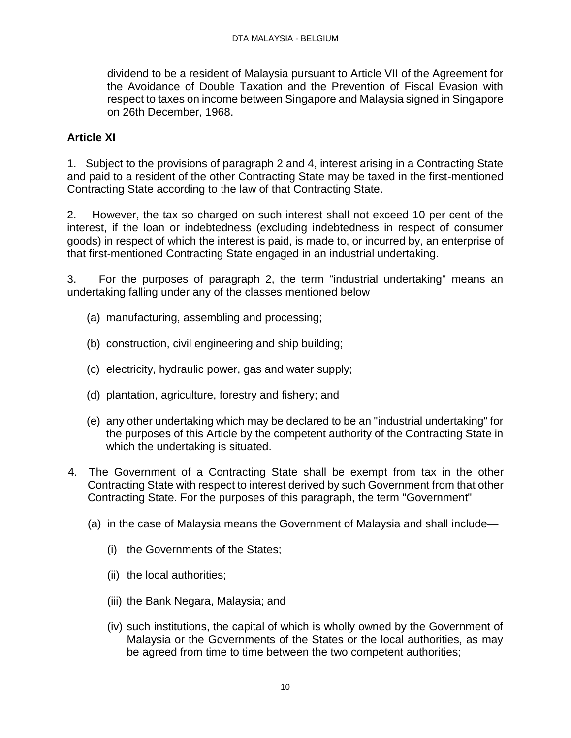dividend to be a resident of Malaysia pursuant to Article VII of the Agreement for the Avoidance of Double Taxation and the Prevention of Fiscal Evasion with respect to taxes on income between Singapore and Malaysia signed in Singapore on 26th December, 1968.

### **Article XI**

1. Subject to the provisions of paragraph 2 and 4, interest arising in a Contracting State and paid to a resident of the other Contracting State may be taxed in the first-mentioned Contracting State according to the law of that Contracting State.

2. However, the tax so charged on such interest shall not exceed 10 per cent of the interest, if the loan or indebtedness (excluding indebtedness in respect of consumer goods) in respect of which the interest is paid, is made to, or incurred by, an enterprise of that first-mentioned Contracting State engaged in an industrial undertaking.

3. For the purposes of paragraph 2, the term "industrial undertaking" means an undertaking falling under any of the classes mentioned below

- (a) manufacturing, assembling and processing;
- (b) construction, civil engineering and ship building;
- (c) electricity, hydraulic power, gas and water supply;
- (d) plantation, agriculture, forestry and fishery; and
- (e) any other undertaking which may be declared to be an "industrial undertaking" for the purposes of this Article by the competent authority of the Contracting State in which the undertaking is situated.
- 4. The Government of a Contracting State shall be exempt from tax in the other Contracting State with respect to interest derived by such Government from that other Contracting State. For the purposes of this paragraph, the term "Government"
	- (a) in the case of Malaysia means the Government of Malaysia and shall include—
		- (i) the Governments of the States;
		- (ii) the local authorities;
		- (iii) the Bank Negara, Malaysia; and
		- (iv) such institutions, the capital of which is wholly owned by the Government of Malaysia or the Governments of the States or the local authorities, as may be agreed from time to time between the two competent authorities;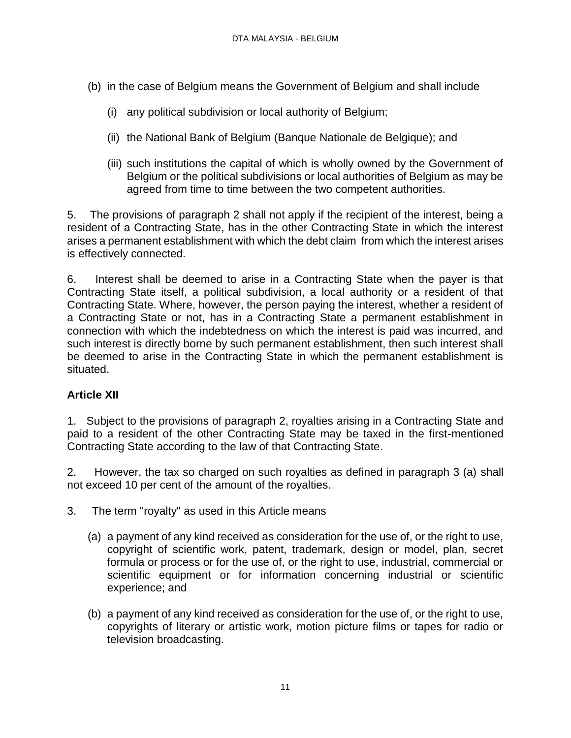- (b) in the case of Belgium means the Government of Belgium and shall include
	- (i) any political subdivision or local authority of Belgium;
	- (ii) the National Bank of Belgium (Banque Nationale de Belgique); and
	- (iii) such institutions the capital of which is wholly owned by the Government of Belgium or the political subdivisions or local authorities of Belgium as may be agreed from time to time between the two competent authorities.

5. The provisions of paragraph 2 shall not apply if the recipient of the interest, being a resident of a Contracting State, has in the other Contracting State in which the interest arises a permanent establishment with which the debt claim from which the interest arises is effectively connected.

6. Interest shall be deemed to arise in a Contracting State when the payer is that Contracting State itself, a political subdivision, a local authority or a resident of that Contracting State. Where, however, the person paying the interest, whether a resident of a Contracting State or not, has in a Contracting State a permanent establishment in connection with which the indebtedness on which the interest is paid was incurred, and such interest is directly borne by such permanent establishment, then such interest shall be deemed to arise in the Contracting State in which the permanent establishment is situated.

# **Article XII**

1. Subject to the provisions of paragraph 2, royalties arising in a Contracting State and paid to a resident of the other Contracting State may be taxed in the first-mentioned Contracting State according to the law of that Contracting State.

2. However, the tax so charged on such royalties as defined in paragraph 3 (a) shall not exceed 10 per cent of the amount of the royalties.

- 3. The term "royalty" as used in this Article means
	- (a) a payment of any kind received as consideration for the use of, or the right to use, copyright of scientific work, patent, trademark, design or model, plan, secret formula or process or for the use of, or the right to use, industrial, commercial or scientific equipment or for information concerning industrial or scientific experience; and
	- (b) a payment of any kind received as consideration for the use of, or the right to use, copyrights of literary or artistic work, motion picture films or tapes for radio or television broadcasting.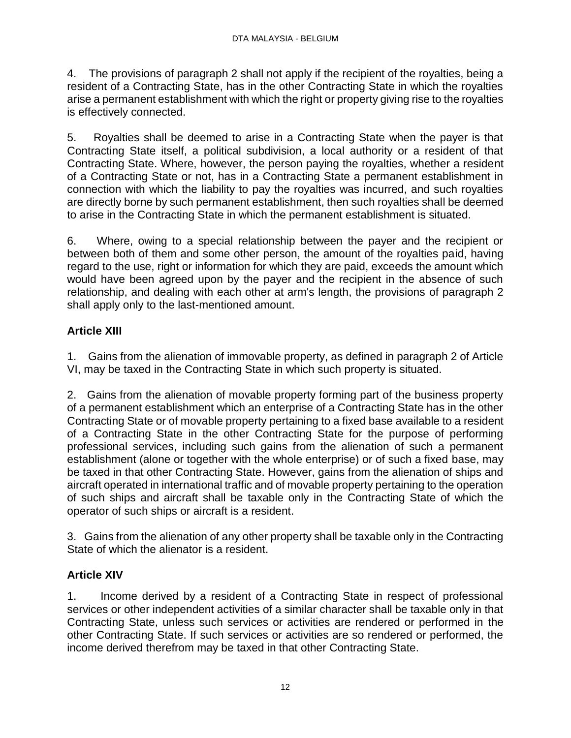4. The provisions of paragraph 2 shall not apply if the recipient of the royalties, being a resident of a Contracting State, has in the other Contracting State in which the royalties arise a permanent establishment with which the right or property giving rise to the royalties is effectively connected.

5. Royalties shall be deemed to arise in a Contracting State when the payer is that Contracting State itself, a political subdivision, a local authority or a resident of that Contracting State. Where, however, the person paying the royalties, whether a resident of a Contracting State or not, has in a Contracting State a permanent establishment in connection with which the liability to pay the royalties was incurred, and such royalties are directly borne by such permanent establishment, then such royalties shall be deemed to arise in the Contracting State in which the permanent establishment is situated.

6. Where, owing to a special relationship between the payer and the recipient or between both of them and some other person, the amount of the royalties paid, having regard to the use, right or information for which they are paid, exceeds the amount which would have been agreed upon by the payer and the recipient in the absence of such relationship, and dealing with each other at arm's length, the provisions of paragraph 2 shall apply only to the last-mentioned amount.

# **Article XIII**

1. Gains from the alienation of immovable property, as defined in paragraph 2 of Article VI, may be taxed in the Contracting State in which such property is situated.

2. Gains from the alienation of movable property forming part of the business property of a permanent establishment which an enterprise of a Contracting State has in the other Contracting State or of movable property pertaining to a fixed base available to a resident of a Contracting State in the other Contracting State for the purpose of performing professional services, including such gains from the alienation of such a permanent establishment (alone or together with the whole enterprise) or of such a fixed base, may be taxed in that other Contracting State. However, gains from the alienation of ships and aircraft operated in international traffic and of movable property pertaining to the operation of such ships and aircraft shall be taxable only in the Contracting State of which the operator of such ships or aircraft is a resident.

3. Gains from the alienation of any other property shall be taxable only in the Contracting State of which the alienator is a resident.

# **Article XIV**

1. Income derived by a resident of a Contracting State in respect of professional services or other independent activities of a similar character shall be taxable only in that Contracting State, unless such services or activities are rendered or performed in the other Contracting State. If such services or activities are so rendered or performed, the income derived therefrom may be taxed in that other Contracting State.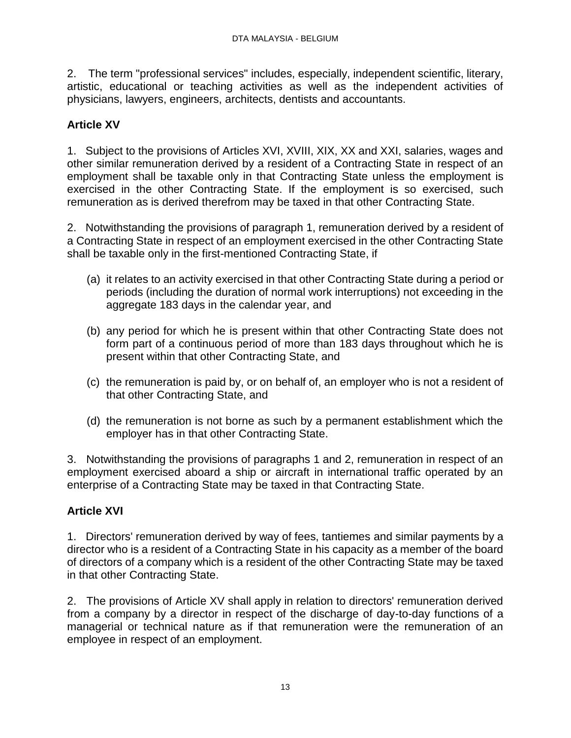2. The term "professional services" includes, especially, independent scientific, literary, artistic, educational or teaching activities as well as the independent activities of physicians, lawyers, engineers, architects, dentists and accountants.

# **Article XV**

1. Subject to the provisions of Articles XVI, XVIII, XIX, XX and XXI, salaries, wages and other similar remuneration derived by a resident of a Contracting State in respect of an employment shall be taxable only in that Contracting State unless the employment is exercised in the other Contracting State. If the employment is so exercised, such remuneration as is derived therefrom may be taxed in that other Contracting State.

2. Notwithstanding the provisions of paragraph 1, remuneration derived by a resident of a Contracting State in respect of an employment exercised in the other Contracting State shall be taxable only in the first-mentioned Contracting State, if

- (a) it relates to an activity exercised in that other Contracting State during a period or periods (including the duration of normal work interruptions) not exceeding in the aggregate 183 days in the calendar year, and
- (b) any period for which he is present within that other Contracting State does not form part of a continuous period of more than 183 days throughout which he is present within that other Contracting State, and
- (c) the remuneration is paid by, or on behalf of, an employer who is not a resident of that other Contracting State, and
- (d) the remuneration is not borne as such by a permanent establishment which the employer has in that other Contracting State.

3. Notwithstanding the provisions of paragraphs 1 and 2, remuneration in respect of an employment exercised aboard a ship or aircraft in international traffic operated by an enterprise of a Contracting State may be taxed in that Contracting State.

# **Article XVI**

1. Directors' remuneration derived by way of fees, tantiemes and similar payments by a director who is a resident of a Contracting State in his capacity as a member of the board of directors of a company which is a resident of the other Contracting State may be taxed in that other Contracting State.

2. The provisions of Article XV shall apply in relation to directors' remuneration derived from a company by a director in respect of the discharge of day-to-day functions of a managerial or technical nature as if that remuneration were the remuneration of an employee in respect of an employment.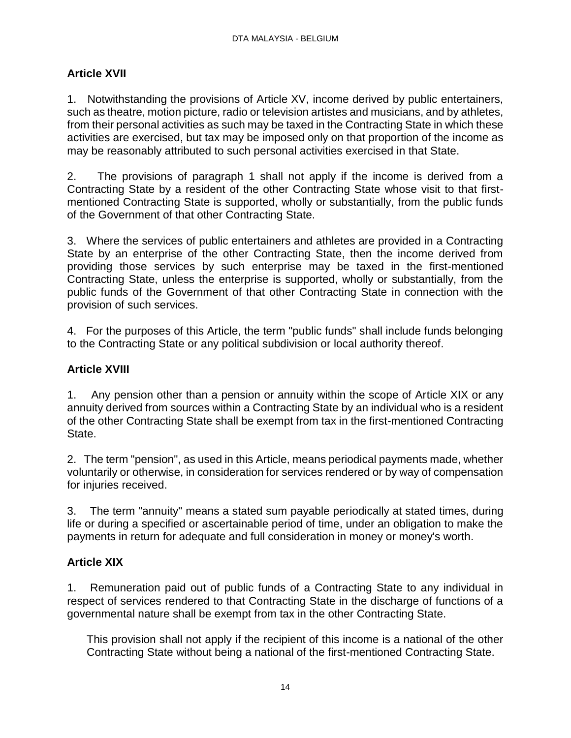### **Article XVII**

1. Notwithstanding the provisions of Article XV, income derived by public entertainers, such as theatre, motion picture, radio or television artistes and musicians, and by athletes, from their personal activities as such may be taxed in the Contracting State in which these activities are exercised, but tax may be imposed only on that proportion of the income as may be reasonably attributed to such personal activities exercised in that State.

2. The provisions of paragraph 1 shall not apply if the income is derived from a Contracting State by a resident of the other Contracting State whose visit to that firstmentioned Contracting State is supported, wholly or substantially, from the public funds of the Government of that other Contracting State.

3. Where the services of public entertainers and athletes are provided in a Contracting State by an enterprise of the other Contracting State, then the income derived from providing those services by such enterprise may be taxed in the first-mentioned Contracting State, unless the enterprise is supported, wholly or substantially, from the public funds of the Government of that other Contracting State in connection with the provision of such services.

4. For the purposes of this Article, the term "public funds" shall include funds belonging to the Contracting State or any political subdivision or local authority thereof.

### **Article XVIII**

1. Any pension other than a pension or annuity within the scope of Article XIX or any annuity derived from sources within a Contracting State by an individual who is a resident of the other Contracting State shall be exempt from tax in the first-mentioned Contracting State.

2. The term "pension", as used in this Article, means periodical payments made, whether voluntarily or otherwise, in consideration for services rendered or by way of compensation for injuries received.

3. The term "annuity" means a stated sum payable periodically at stated times, during life or during a specified or ascertainable period of time, under an obligation to make the payments in return for adequate and full consideration in money or money's worth.

### **Article XIX**

1. Remuneration paid out of public funds of a Contracting State to any individual in respect of services rendered to that Contracting State in the discharge of functions of a governmental nature shall be exempt from tax in the other Contracting State.

This provision shall not apply if the recipient of this income is a national of the other Contracting State without being a national of the first-mentioned Contracting State.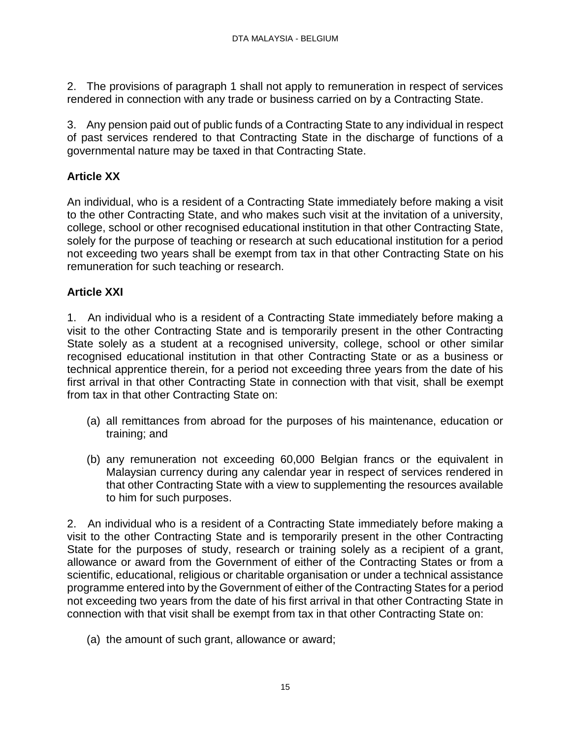2. The provisions of paragraph 1 shall not apply to remuneration in respect of services rendered in connection with any trade or business carried on by a Contracting State.

3. Any pension paid out of public funds of a Contracting State to any individual in respect of past services rendered to that Contracting State in the discharge of functions of a governmental nature may be taxed in that Contracting State.

# **Article XX**

An individual, who is a resident of a Contracting State immediately before making a visit to the other Contracting State, and who makes such visit at the invitation of a university, college, school or other recognised educational institution in that other Contracting State, solely for the purpose of teaching or research at such educational institution for a period not exceeding two years shall be exempt from tax in that other Contracting State on his remuneration for such teaching or research.

# **Article XXI**

1. An individual who is a resident of a Contracting State immediately before making a visit to the other Contracting State and is temporarily present in the other Contracting State solely as a student at a recognised university, college, school or other similar recognised educational institution in that other Contracting State or as a business or technical apprentice therein, for a period not exceeding three years from the date of his first arrival in that other Contracting State in connection with that visit, shall be exempt from tax in that other Contracting State on:

- (a) all remittances from abroad for the purposes of his maintenance, education or training; and
- (b) any remuneration not exceeding 60,000 Belgian francs or the equivalent in Malaysian currency during any calendar year in respect of services rendered in that other Contracting State with a view to supplementing the resources available to him for such purposes.

2. An individual who is a resident of a Contracting State immediately before making a visit to the other Contracting State and is temporarily present in the other Contracting State for the purposes of study, research or training solely as a recipient of a grant, allowance or award from the Government of either of the Contracting States or from a scientific, educational, religious or charitable organisation or under a technical assistance programme entered into by the Government of either of the Contracting States for a period not exceeding two years from the date of his first arrival in that other Contracting State in connection with that visit shall be exempt from tax in that other Contracting State on:

(a) the amount of such grant, allowance or award;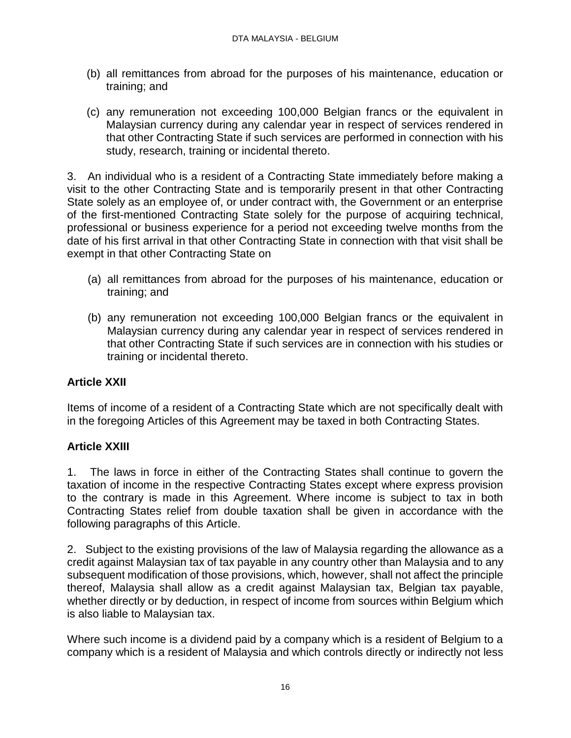- (b) all remittances from abroad for the purposes of his maintenance, education or training; and
- (c) any remuneration not exceeding 100,000 Belgian francs or the equivalent in Malaysian currency during any calendar year in respect of services rendered in that other Contracting State if such services are performed in connection with his study, research, training or incidental thereto.

3. An individual who is a resident of a Contracting State immediately before making a visit to the other Contracting State and is temporarily present in that other Contracting State solely as an employee of, or under contract with, the Government or an enterprise of the first-mentioned Contracting State solely for the purpose of acquiring technical, professional or business experience for a period not exceeding twelve months from the date of his first arrival in that other Contracting State in connection with that visit shall be exempt in that other Contracting State on

- (a) all remittances from abroad for the purposes of his maintenance, education or training; and
- (b) any remuneration not exceeding 100,000 Belgian francs or the equivalent in Malaysian currency during any calendar year in respect of services rendered in that other Contracting State if such services are in connection with his studies or training or incidental thereto.

# **Article XXII**

Items of income of a resident of a Contracting State which are not specifically dealt with in the foregoing Articles of this Agreement may be taxed in both Contracting States.

# **Article XXIII**

1. The laws in force in either of the Contracting States shall continue to govern the taxation of income in the respective Contracting States except where express provision to the contrary is made in this Agreement. Where income is subject to tax in both Contracting States relief from double taxation shall be given in accordance with the following paragraphs of this Article.

2. Subject to the existing provisions of the law of Malaysia regarding the allowance as a credit against Malaysian tax of tax payable in any country other than Malaysia and to any subsequent modification of those provisions, which, however, shall not affect the principle thereof, Malaysia shall allow as a credit against Malaysian tax, Belgian tax payable, whether directly or by deduction, in respect of income from sources within Belgium which is also liable to Malaysian tax.

Where such income is a dividend paid by a company which is a resident of Belgium to a company which is a resident of Malaysia and which controls directly or indirectly not less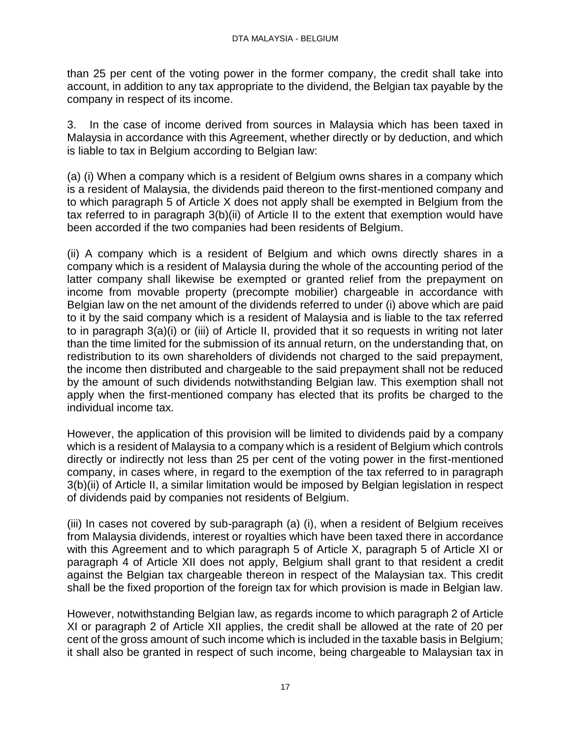than 25 per cent of the voting power in the former company, the credit shall take into account, in addition to any tax appropriate to the dividend, the Belgian tax payable by the company in respect of its income.

3. In the case of income derived from sources in Malaysia which has been taxed in Malaysia in accordance with this Agreement, whether directly or by deduction, and which is liable to tax in Belgium according to Belgian law:

(a) (i) When a company which is a resident of Belgium owns shares in a company which is a resident of Malaysia, the dividends paid thereon to the first-mentioned company and to which paragraph 5 of Article X does not apply shall be exempted in Belgium from the tax referred to in paragraph 3(b)(ii) of Article II to the extent that exemption would have been accorded if the two companies had been residents of Belgium.

(ii) A company which is a resident of Belgium and which owns directly shares in a company which is a resident of Malaysia during the whole of the accounting period of the latter company shall likewise be exempted or granted relief from the prepayment on income from movable property (precompte mobilier) chargeable in accordance with Belgian law on the net amount of the dividends referred to under (i) above which are paid to it by the said company which is a resident of Malaysia and is liable to the tax referred to in paragraph 3(a)(i) or (iii) of Article II, provided that it so requests in writing not later than the time limited for the submission of its annual return, on the understanding that, on redistribution to its own shareholders of dividends not charged to the said prepayment, the income then distributed and chargeable to the said prepayment shall not be reduced by the amount of such dividends notwithstanding Belgian law. This exemption shall not apply when the first-mentioned company has elected that its profits be charged to the individual income tax.

However, the application of this provision will be limited to dividends paid by a company which is a resident of Malaysia to a company which is a resident of Belgium which controls directly or indirectly not less than 25 per cent of the voting power in the first-mentioned company, in cases where, in regard to the exemption of the tax referred to in paragraph 3(b)(ii) of Article II, a similar limitation would be imposed by Belgian legislation in respect of dividends paid by companies not residents of Belgium.

(iii) In cases not covered by sub-paragraph (a) (i), when a resident of Belgium receives from Malaysia dividends, interest or royalties which have been taxed there in accordance with this Agreement and to which paragraph 5 of Article X, paragraph 5 of Article XI or paragraph 4 of Article XII does not apply, Belgium shall grant to that resident a credit against the Belgian tax chargeable thereon in respect of the Malaysian tax. This credit shall be the fixed proportion of the foreign tax for which provision is made in Belgian law.

However, notwithstanding Belgian law, as regards income to which paragraph 2 of Article XI or paragraph 2 of Article XII applies, the credit shall be allowed at the rate of 20 per cent of the gross amount of such income which is included in the taxable basis in Belgium; it shall also be granted in respect of such income, being chargeable to Malaysian tax in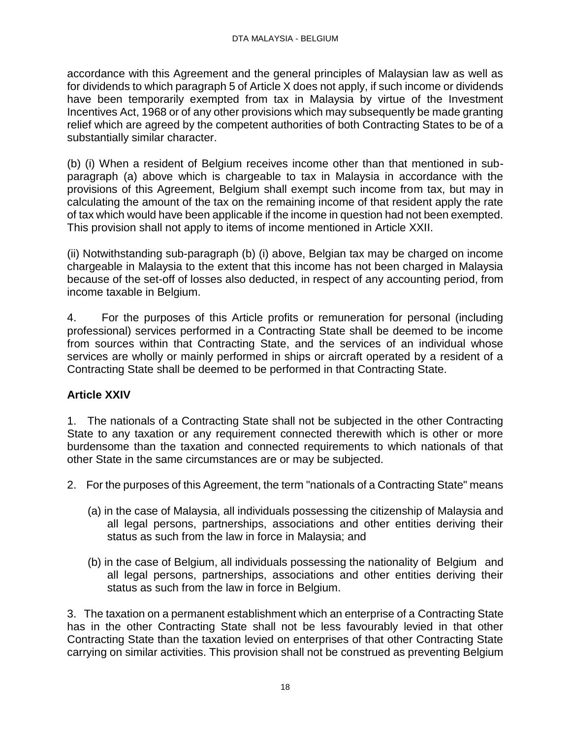accordance with this Agreement and the general principles of Malaysian law as well as for dividends to which paragraph 5 of Article X does not apply, if such income or dividends have been temporarily exempted from tax in Malaysia by virtue of the Investment Incentives Act, 1968 or of any other provisions which may subsequently be made granting relief which are agreed by the competent authorities of both Contracting States to be of a substantially similar character.

(b) (i) When a resident of Belgium receives income other than that mentioned in subparagraph (a) above which is chargeable to tax in Malaysia in accordance with the provisions of this Agreement, Belgium shall exempt such income from tax, but may in calculating the amount of the tax on the remaining income of that resident apply the rate of tax which would have been applicable if the income in question had not been exempted. This provision shall not apply to items of income mentioned in Article XXII.

(ii) Notwithstanding sub-paragraph (b) (i) above, Belgian tax may be charged on income chargeable in Malaysia to the extent that this income has not been charged in Malaysia because of the set-off of losses also deducted, in respect of any accounting period, from income taxable in Belgium.

4. For the purposes of this Article profits or remuneration for personal (including professional) services performed in a Contracting State shall be deemed to be income from sources within that Contracting State, and the services of an individual whose services are wholly or mainly performed in ships or aircraft operated by a resident of a Contracting State shall be deemed to be performed in that Contracting State.

### **Article XXIV**

1. The nationals of a Contracting State shall not be subjected in the other Contracting State to any taxation or any requirement connected therewith which is other or more burdensome than the taxation and connected requirements to which nationals of that other State in the same circumstances are or may be subjected.

- 2. For the purposes of this Agreement, the term "nationals of a Contracting State" means
	- (a) in the case of Malaysia, all individuals possessing the citizenship of Malaysia and all legal persons, partnerships, associations and other entities deriving their status as such from the law in force in Malaysia; and
	- (b) in the case of Belgium, all individuals possessing the nationality of Belgium and all legal persons, partnerships, associations and other entities deriving their status as such from the law in force in Belgium.

3. The taxation on a permanent establishment which an enterprise of a Contracting State has in the other Contracting State shall not be less favourably levied in that other Contracting State than the taxation levied on enterprises of that other Contracting State carrying on similar activities. This provision shall not be construed as preventing Belgium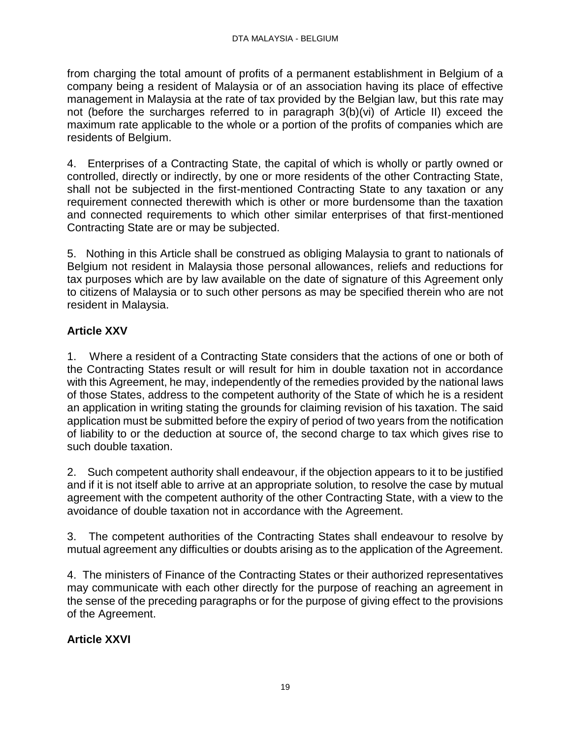from charging the total amount of profits of a permanent establishment in Belgium of a company being a resident of Malaysia or of an association having its place of effective management in Malaysia at the rate of tax provided by the Belgian law, but this rate may not (before the surcharges referred to in paragraph 3(b)(vi) of Article II) exceed the maximum rate applicable to the whole or a portion of the profits of companies which are residents of Belgium.

4. Enterprises of a Contracting State, the capital of which is wholly or partly owned or controlled, directly or indirectly, by one or more residents of the other Contracting State, shall not be subjected in the first-mentioned Contracting State to any taxation or any requirement connected therewith which is other or more burdensome than the taxation and connected requirements to which other similar enterprises of that first-mentioned Contracting State are or may be subjected.

5. Nothing in this Article shall be construed as obliging Malaysia to grant to nationals of Belgium not resident in Malaysia those personal allowances, reliefs and reductions for tax purposes which are by law available on the date of signature of this Agreement only to citizens of Malaysia or to such other persons as may be specified therein who are not resident in Malaysia.

# **Article XXV**

1. Where a resident of a Contracting State considers that the actions of one or both of the Contracting States result or will result for him in double taxation not in accordance with this Agreement, he may, independently of the remedies provided by the national laws of those States, address to the competent authority of the State of which he is a resident an application in writing stating the grounds for claiming revision of his taxation. The said application must be submitted before the expiry of period of two years from the notification of liability to or the deduction at source of, the second charge to tax which gives rise to such double taxation.

2. Such competent authority shall endeavour, if the objection appears to it to be justified and if it is not itself able to arrive at an appropriate solution, to resolve the case by mutual agreement with the competent authority of the other Contracting State, with a view to the avoidance of double taxation not in accordance with the Agreement.

3. The competent authorities of the Contracting States shall endeavour to resolve by mutual agreement any difficulties or doubts arising as to the application of the Agreement.

4. The ministers of Finance of the Contracting States or their authorized representatives may communicate with each other directly for the purpose of reaching an agreement in the sense of the preceding paragraphs or for the purpose of giving effect to the provisions of the Agreement.

# **Article XXVI**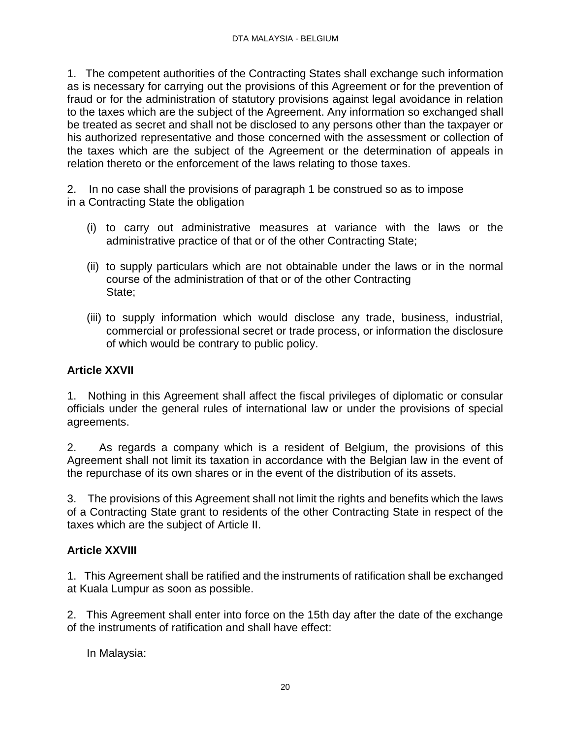1. The competent authorities of the Contracting States shall exchange such information as is necessary for carrying out the provisions of this Agreement or for the prevention of fraud or for the administration of statutory provisions against legal avoidance in relation to the taxes which are the subject of the Agreement. Any information so exchanged shall be treated as secret and shall not be disclosed to any persons other than the taxpayer or his authorized representative and those concerned with the assessment or collection of the taxes which are the subject of the Agreement or the determination of appeals in relation thereto or the enforcement of the laws relating to those taxes.

2. In no case shall the provisions of paragraph 1 be construed so as to impose in a Contracting State the obligation

- (i) to carry out administrative measures at variance with the laws or the administrative practice of that or of the other Contracting State;
- (ii) to supply particulars which are not obtainable under the laws or in the normal course of the administration of that or of the other Contracting State;
- (iii) to supply information which would disclose any trade, business, industrial, commercial or professional secret or trade process, or information the disclosure of which would be contrary to public policy.

### **Article XXVII**

1. Nothing in this Agreement shall affect the fiscal privileges of diplomatic or consular officials under the general rules of international law or under the provisions of special agreements.

2. As regards a company which is a resident of Belgium, the provisions of this Agreement shall not limit its taxation in accordance with the Belgian law in the event of the repurchase of its own shares or in the event of the distribution of its assets.

3. The provisions of this Agreement shall not limit the rights and benefits which the laws of a Contracting State grant to residents of the other Contracting State in respect of the taxes which are the subject of Article II.

### **Article XXVIII**

1. This Agreement shall be ratified and the instruments of ratification shall be exchanged at Kuala Lumpur as soon as possible.

2. This Agreement shall enter into force on the 15th day after the date of the exchange of the instruments of ratification and shall have effect:

In Malaysia: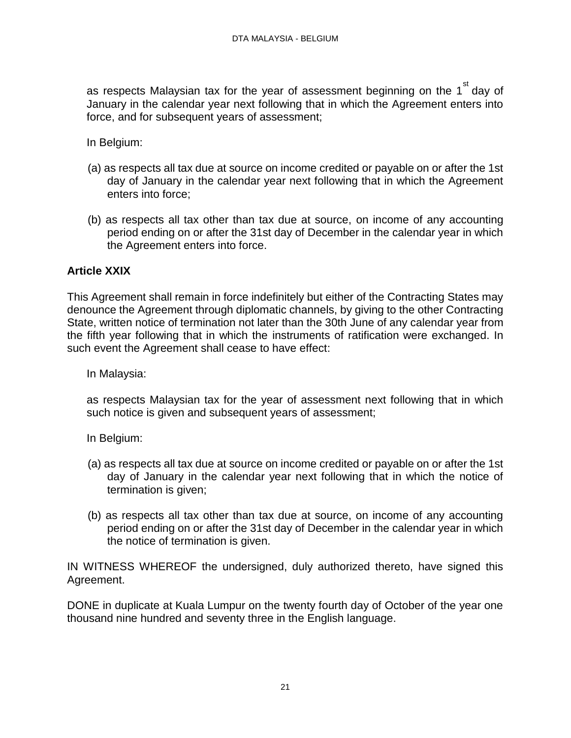as respects Malaysian tax for the year of assessment beginning on the 1<sup>st</sup> day of January in the calendar year next following that in which the Agreement enters into force, and for subsequent years of assessment;

In Belgium:

- (a) as respects all tax due at source on income credited or payable on or after the 1st day of January in the calendar year next following that in which the Agreement enters into force;
- (b) as respects all tax other than tax due at source, on income of any accounting period ending on or after the 31st day of December in the calendar year in which the Agreement enters into force.

### **Article XXIX**

This Agreement shall remain in force indefinitely but either of the Contracting States may denounce the Agreement through diplomatic channels, by giving to the other Contracting State, written notice of termination not later than the 30th June of any calendar year from the fifth year following that in which the instruments of ratification were exchanged. In such event the Agreement shall cease to have effect:

In Malaysia:

as respects Malaysian tax for the year of assessment next following that in which such notice is given and subsequent years of assessment;

In Belgium:

- (a) as respects all tax due at source on income credited or payable on or after the 1st day of January in the calendar year next following that in which the notice of termination is given;
- (b) as respects all tax other than tax due at source, on income of any accounting period ending on or after the 31st day of December in the calendar year in which the notice of termination is given.

IN WITNESS WHEREOF the undersigned, duly authorized thereto, have signed this Agreement.

DONE in duplicate at Kuala Lumpur on the twenty fourth day of October of the year one thousand nine hundred and seventy three in the English language.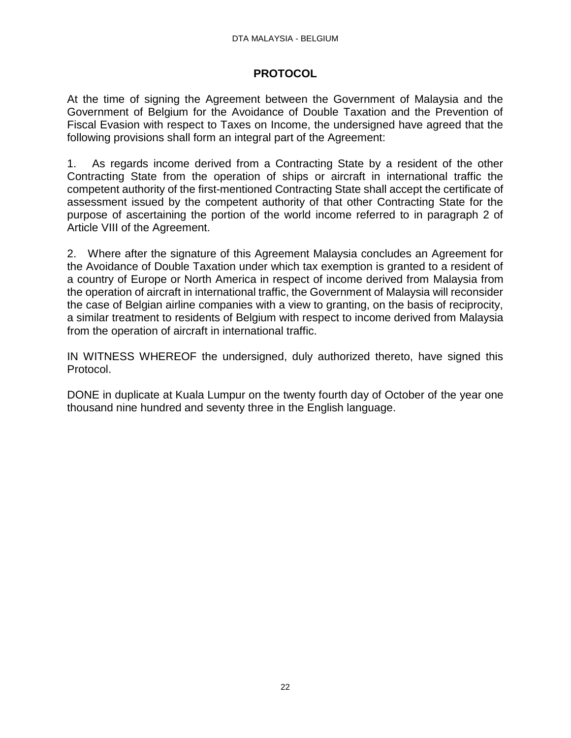### **PROTOCOL**

At the time of signing the Agreement between the Government of Malaysia and the Government of Belgium for the Avoidance of Double Taxation and the Prevention of Fiscal Evasion with respect to Taxes on Income, the undersigned have agreed that the following provisions shall form an integral part of the Agreement:

1. As regards income derived from a Contracting State by a resident of the other Contracting State from the operation of ships or aircraft in international traffic the competent authority of the first-mentioned Contracting State shall accept the certificate of assessment issued by the competent authority of that other Contracting State for the purpose of ascertaining the portion of the world income referred to in paragraph 2 of Article VIII of the Agreement.

2. Where after the signature of this Agreement Malaysia concludes an Agreement for the Avoidance of Double Taxation under which tax exemption is granted to a resident of a country of Europe or North America in respect of income derived from Malaysia from the operation of aircraft in international traffic, the Government of Malaysia will reconsider the case of Belgian airline companies with a view to granting, on the basis of reciprocity, a similar treatment to residents of Belgium with respect to income derived from Malaysia from the operation of aircraft in international traffic.

IN WITNESS WHEREOF the undersigned, duly authorized thereto, have signed this Protocol.

DONE in duplicate at Kuala Lumpur on the twenty fourth day of October of the year one thousand nine hundred and seventy three in the English language.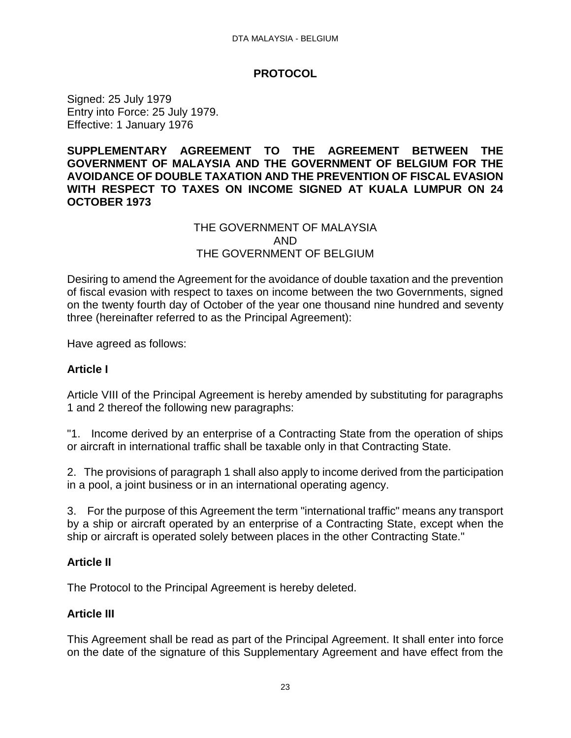#### **PROTOCOL**

<span id="page-22-0"></span>Signed: 25 July 1979 Entry into Force: 25 July 1979. Effective: 1 January 1976

#### **SUPPLEMENTARY AGREEMENT TO THE AGREEMENT BETWEEN THE GOVERNMENT OF MALAYSIA AND THE GOVERNMENT OF BELGIUM FOR THE AVOIDANCE OF DOUBLE TAXATION AND THE PREVENTION OF FISCAL EVASION WITH RESPECT TO TAXES ON INCOME SIGNED AT KUALA LUMPUR ON 24 OCTOBER 1973**

### THE GOVERNMENT OF MALAYSIA AND THE GOVERNMENT OF BELGIUM

Desiring to amend the Agreement for the avoidance of double taxation and the prevention of fiscal evasion with respect to taxes on income between the two Governments, signed on the twenty fourth day of October of the year one thousand nine hundred and seventy three (hereinafter referred to as the Principal Agreement):

Have agreed as follows:

### **Article I**

Article VIII of the Principal Agreement is hereby amended by substituting for paragraphs 1 and 2 thereof the following new paragraphs:

"1. Income derived by an enterprise of a Contracting State from the operation of ships or aircraft in international traffic shall be taxable only in that Contracting State.

2. The provisions of paragraph 1 shall also apply to income derived from the participation in a pool, a joint business or in an international operating agency.

3. For the purpose of this Agreement the term "international traffic" means any transport by a ship or aircraft operated by an enterprise of a Contracting State, except when the ship or aircraft is operated solely between places in the other Contracting State."

#### **Article II**

The Protocol to the Principal Agreement is hereby deleted.

#### **Article III**

This Agreement shall be read as part of the Principal Agreement. It shall enter into force on the date of the signature of this Supplementary Agreement and have effect from the